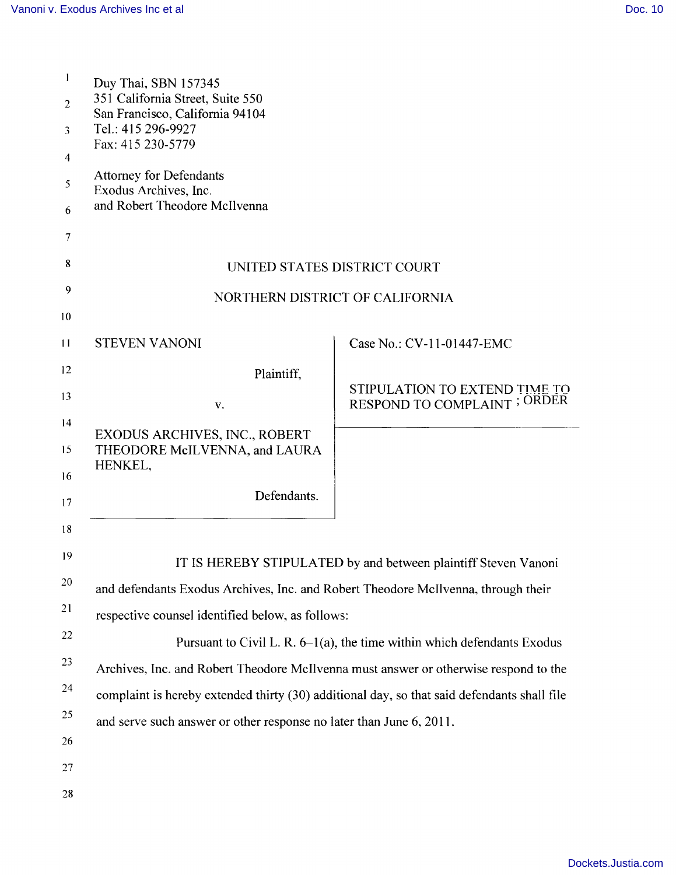| 1               | Duy Thai, SBN 157345<br>351 California Street, Suite 550<br>San Francisco, California 94104<br>Tel.: 415 296-9927 |                                                                      |
|-----------------|-------------------------------------------------------------------------------------------------------------------|----------------------------------------------------------------------|
| $\overline{2}$  |                                                                                                                   |                                                                      |
| $\mathfrak{Z}$  |                                                                                                                   |                                                                      |
| 4               | Fax: 415 230-5779                                                                                                 |                                                                      |
| 5               | <b>Attorney for Defendants</b><br>Exodus Archives, Inc.                                                           |                                                                      |
| 6               | and Robert Theodore McIlvenna                                                                                     |                                                                      |
| $\overline{7}$  |                                                                                                                   |                                                                      |
| 8               | UNITED STATES DISTRICT COURT                                                                                      |                                                                      |
| 9               | NORTHERN DISTRICT OF CALIFORNIA                                                                                   |                                                                      |
| 10              |                                                                                                                   |                                                                      |
| $\overline{11}$ | <b>STEVEN VANONI</b>                                                                                              | Case No.: CV-11-01447-EMC                                            |
| 12              | Plaintiff,                                                                                                        |                                                                      |
| 13              | V.                                                                                                                | STIPULATION TO EXTEND TIME TO<br><b>RESPOND TO COMPLAINT ; ORDER</b> |
| 14              | EXODUS ARCHIVES, INC., ROBERT                                                                                     |                                                                      |
| 15              | THEODORE McILVENNA, and LAURA<br>HENKEL,                                                                          |                                                                      |
| 16              |                                                                                                                   |                                                                      |
| 17              | Defendants.                                                                                                       |                                                                      |
| 18              |                                                                                                                   |                                                                      |
| 19              | IT IS HEREBY STIPULATED by and between plaintiff Steven Vanoni                                                    |                                                                      |
| 20              | and defendants Exodus Archives, Inc. and Robert Theodore McIlvenna, through their                                 |                                                                      |
| 21              | respective counsel identified below, as follows:                                                                  |                                                                      |
| $22\,$          | Pursuant to Civil L. R. $6-1(a)$ , the time within which defendants Exodus                                        |                                                                      |
| 23              | Archives, Inc. and Robert Theodore McIlvenna must answer or otherwise respond to the                              |                                                                      |
| 24              | complaint is hereby extended thirty (30) additional day, so that said defendants shall file                       |                                                                      |
| 25              | and serve such answer or other response no later than June 6, 2011.                                               |                                                                      |
| 26              |                                                                                                                   |                                                                      |
| 27              |                                                                                                                   |                                                                      |
| 28              |                                                                                                                   |                                                                      |